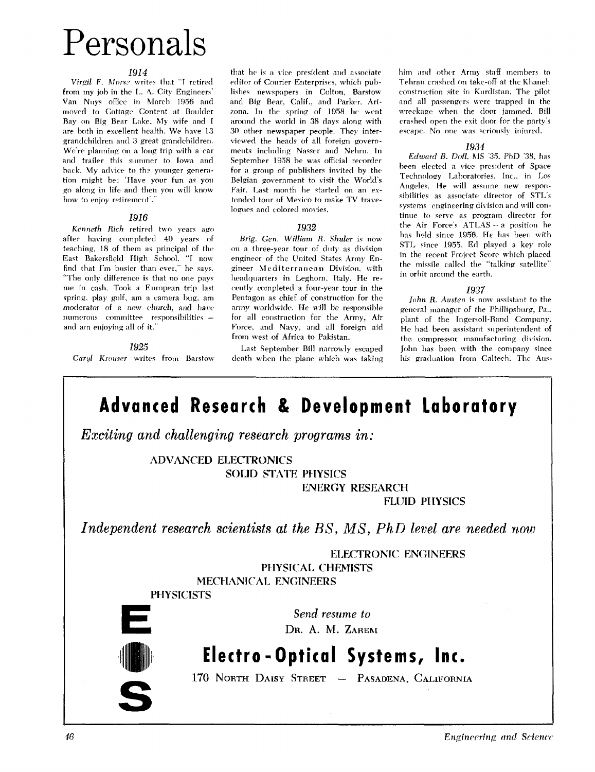# Personals

#### 1914

Virgil F. Morse writes that "I retired from my job in the L. A. City Engineers' Van **Nuys** office in March 1956 and moved to Cottage Content at Boulder Bay on Big Bear Lake. My nife and I are both in excellent health. We have 13 grandchildren and 3 great grandchildren. We're planning on a long trip with a car and trailer this summer to Iowa and back. My advice to the younger generation might be: 'Have your fun as you go along in life and then you will know how to enjoy retirement'."

#### 1916

Kenneth Rich retired two years ago after having completed 40 years oF teaching, 18 of them as principal of the East Bakersfield High School. "I now find that I'm busier than ever." he says. "The only difference is that no one pays<br>me in cash. Took a European trip last me in cash. Took a European trip last cently completed a four-year tour in the spring, play golf, am a camera bug, am Pentagon as chief of construction for the spring, play golf, am a camera bug, am  $\frac{1}{10}$  Pentagon as chief of construction for the moderator of a new church, and have army worldwide. He will be responsible moderator of a new church, and have army worldwide. He will be responsible numerous committee responsibilities  $-$  for all construction for the Army. Air

that he is *a* \ice president and associate editor of Courier Enterprises, which publishes newspapers in Colton. Barstow and Big Bear, Calif., and Parker. Arizona. In the spring of 1958 he went around the world in 38 days along with 30 other newspaper people. They interviewed the heads of all foreign governments including Nasser and Nehru. In September 1958 he was official recorder for a group of publishers invited by the Belgian government to visit the World's Fair. Last month he started on an extended tour **ot** Mexico to rnake TV traveloenes and colored movies.

#### *1932*

*Brig.* **Gen. William U.** Shulpr is now on a three-year tour of duty as division engineer of the United States Army Engineer Mediterranean Division, with headquarters in Leghorn. Italy. He renumerous committee responsibilities - for all construction for the Army, Air<br>and am enjoying all of it." Force, and Navy, and all foreign aid Force, and Navy, and all foreign aid from west of Africa to Pakistan.

1925 **1925** Last September Bill narrowly escaped<br>Carul Krouser writes from Barstow death when the plane which was taking *death* when the plane which was taking him and other Army staff members to Tehran crashed on take-off at the Khaneh construction site in Kurdistan. The pilot and all passengers were trapped in the wreckage when the door jammed. Bill crashed open the exit door for the party's escape. No one was seriously injured.

#### *1934*

*Edward B.* Doll. **MS "35.** PhD '38, has been elected a vice president of Space Technology Laboratories. Inc., in Los Angeles. He will assume new responsibilities as associate director of STL's systems engineering division and will continue to serve as program director for the Air Force's ATLAS -- a position he has held since 1956. He has been with STL since 1955. Ed played a key role in the recent Project Score which placed the missile called the "talking satellite" in orbit aroiind the earth.

#### *1937*

John R. Austen is now assistant to the general manager of the Phillipshurg, Pa., plant of the Ingersoll-Rand Company. He had been assistant superintendent of the compressor manufacturing division. John has been with the company since his graduation from Caltech. The Aus-



Enginecring and Science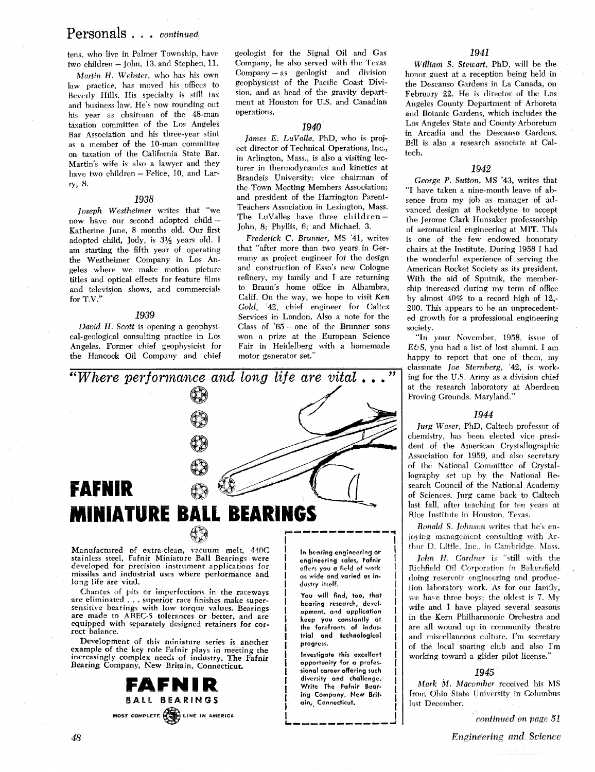### Personals . . . **continued**

tens, who live in Palmer Township, have two children – John, 13, and Stephen, 11.

Martin *H.* Webster, who has his own law practice, has moved his offices to Beverly Hills. His specialty is still tax and business law. He's now rounding out his year as chairman of the 48-man taxation committee of the Los Angeles Bar Association and his three-year stint as a member of the 10-man committee on taxation of the California State Bar. Martin's wife is also a lawyer and they have two children - Felice, 10, and Larry, 8.

#### *1938*

Joseph Westheimer writes that "we now have our second adopted child - Katherine June, 8 months old. Our first adopted child, Jocly, is *3%* years old. I am starting the fifth year of operating the Westheimer Company in Los Angeles where we make motion picture titles and optical effects for feature films and television shows, and commercials for T.V.'

#### *1939*

*David H.* Scott is opening a geophysical-geological consulting practice in Los Angeles. Former chief geophysicist for the Hancock Oil Company and chief geologist for the Signal Oil and Gas Company, he also served with the Texas Company - as geologist and division geophysicist of the Pacific Coast Division, and as head of the gravity department at Houston for U.S. and Canadian operations.

#### **2940**

James E. LuValle, PhD, who is project director of Technical Operations, Inc., in Arlington, Mass., is also a visiting lecturer in thermodynamics and kinetics at Brandeis University; vice chairman of the Town Meeting Members Association: and president of the Harrington Parent-Teachers Association in Lexington, Mass. The LuValles have three children-John, 8; Phyllis, 6; and Michael, 3.

Frederick *C.* Brunner, MS '41, writes that "after more than two years in Germany as project engineer for the design and construction of Esso's new Cologne refinery, my family and I are returning to Braun's home office in Alhambra, Calif. On the way, we hope to visit Ken Gold, '42, chief engineer for Caltex Services in London. Also a note for the Class of  $85$  - one of the Brunner sons won a prize at the European Science Fair in Heidelberg with a homemade motor generator set."



Manufactured of extra-clean, vacuum melt, **410C**  stainless steel, Fafnir Miniature Ball Bearings were developed for precision instrument applicittions for missiles and industrial uses where performance and long life are vital.

Chances of pits or imperfections in the raceways are eliminated . . . superior race finishes make super-<br>sensitive bearings with low torque values. Bearings are made to ABEC-5 tolerances or better, and are equipped with separately designed retainers for correct balance.

Development of this miniature series is another example of the key role Fafnir plays in meeting the increasingly complex needs of industry. The Fafnir Bearing Company, New Britain, Connecticut.



**In bearing engineering or**  engineering sales, Fafnir **offers you a field of work as wide and varied as industry itself.** 

**You will find, too, that bearing research, development, and application keep you constantly at the forefronts of industrial and technological progress.** 

**Investigate this excellent opportunity for a professional career offering such diversity and challenge. Write The Fofnir Bearing Company, New Britain, Connecticut.** 

#### *1941*

William S. Stewart, PhD, will be the honor guest at a reception being held in the Descanso Gardens in La Canada, on February 22. He is director of the Los Angeles County Department of Arboreta and Botanic Gardens, which includes the Los Angeles State and County Arboretum in Arcadia and the Descanso Gardens. Bill is also a research associate at Caltech.

#### *1942*

George P. Sutton, MS '43, writes that "I have taken a nine-month leave of absence from my job as manager of advanced design at Rocketdyne to accept the Jerome Clark Hunsaker professorship of aeronautical engineering at MIT. This is one of the few endowed honorary chairs at the Institute. During 1958 I had the wonderful experience of serving the American Rocket Society as its president. With the aid of Sputnik, the membership increased during my term of office by almost 40% to a record high of 12,- 200. This appears to be an unprecedented growth for a professional engineering society.

"In your November, 1958, issue of  $E\phi S$ , you had a list of lost alumni. I am happy to report that one of them, my classmate *Joe* Sternberg, '42, is working for the U.S. Army as a division chief at the research laboratory at Aberdeen Proving Grounds, Maryland."

#### *1944*

Jurg Waser, PhD, Caltech professor of chemistry, has been elected vice president of the American Crystallographic Association for 1959, and also secretary of the National Committee of Crystallography set up by the National Research Council of the National Academy of Sciences. Jurg came back to Caltech last fall, after teaching for ten years at Rice Institute in Houston, Texas.

*Ronald S. Johnson writes that he's en*joving management consulting with Arthur D. Little, Inc., in Cambridge, Mass.

 $John$  *H. Gardner* is "still with the Richfield Oil Corporation in Bakersfield doing reservoir engineering and production laboratory work. **As** for our family, we have three boys; the oldest is 7. My wife and I have played several seasons in the Kern Philharmonic Orchestra and are all wound up in community theatre and miscellaneous culture. I'm secretary of the local soaring club and also I'm working toward a glider pilot license."

#### *1945*

Mark M. Macomber received his MS from Ohio State University in Columbus last December.

continued **on** *page-* **Sl**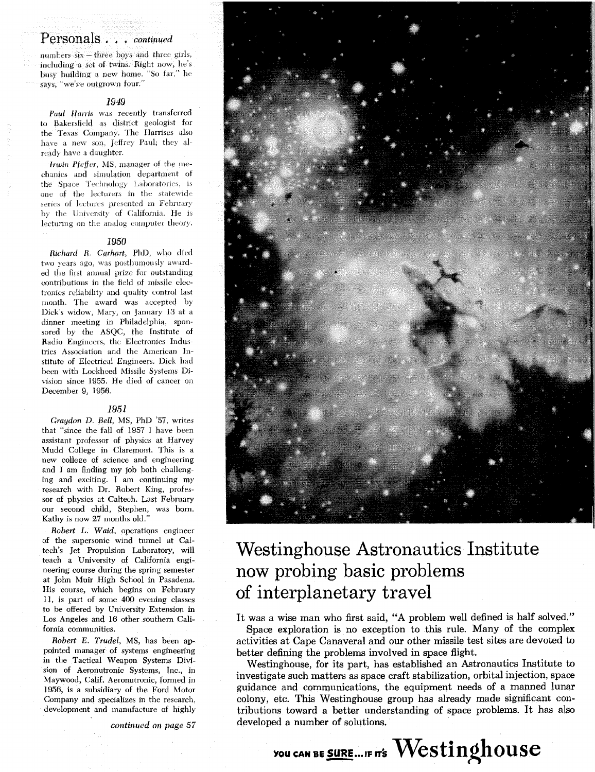### Personals...continued

numbers six - three boys and three girls, including a set of twins. Right now, he's busy building a new home. "So far," he says, "we've outgrown four."

#### 1949

Paul Harris was recently transferred to Bakersfield as district geologist for the Texas Company. The Harrises also have a new son, Jeffrey Paul; they already have a daughter.

Irwin Pfeffer, MS, manager of the mechanics and simulation department of the Space Technology Laboratories, is one of the lecturers in the statewide series of lectures presented in February by the University of California. He is lecturing on the analog computer theory.

#### 1950

Richard R. Carhart, PhD, who died two years ago, was posthumously awarded the first annual prize for outstanding contributions in the field of missile electronics reliability and quality control last month. The award was accepted by Dick's widow, Mary, on January 13 at a dinner meeting in Philadelphia, sponsored by the ASQC, the Institute of Radio Engineers, the Electronics Industries Association and the American Institute of Electrical Engineers. Dick had been with Lockheed Missile Systems Division since 1955. He died of cancer on December 9, 1956.

#### 1951

Graydon D. Bell, MS, PhD '57, writes that "since the fall of 1957 I have been assistant professor of physics at Harvey Mudd College in Claremont. This is a new college of science and engineering and I am finding my job both challenging and exciting. I am continuing my research with Dr. Robert King, professor of physics at Caltech. Last February our second child, Stephen, was born. Kathy is now 27 months old."

Robert L. Waid, operations engineer of the supersonic wind tunnel at Caltech's Jet Propulsion Laboratory, will teach a University of California engineering course during the spring semester at John Muir High School in Pasadena. His course, which begins on February 11, is part of some 400 evening classes to be offered by University Extension in Los Angeles and 16 other southern California communities.

Robert E. Trudel, MS, has been appointed manager of systems engineering in the Tactical Weapon Systems Division of Aeronutronic Systems. Inc., in Maywood, Calif. Aeronutronic, formed in 1956, is a subsidiary of the Ford Motor Company and specializes in the research, development and manufacture of highly

continued on page 57



## Westinghouse Astronautics Institute now probing basic problems of interplanetary travel

It was a wise man who first said, "A problem well defined is half solved." Space exploration is no exception to this rule. Many of the complex

activities at Cape Canaveral and our other missile test sites are devoted to better defining the problems involved in space flight.

Westinghouse, for its part, has established an Astronautics Institute to investigate such matters as space craft stabilization, orbital injection, space guidance and communications, the equipment needs of a manned lunar colony, etc. This Westinghouse group has already made significant contributions toward a better understanding of space problems. It has also developed a number of solutions.

YOU CAN BE SURE ... IF IT'S Westinghouse